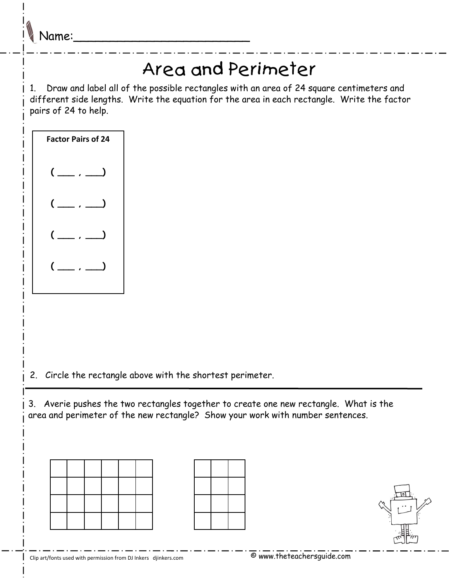Name:\_\_\_\_\_\_\_\_\_\_\_\_\_\_\_\_\_\_\_\_\_\_\_\_

## Area and Perimeter

1. Draw and label all of the possible rectangles with an area of 24 square centimeters and different side lengths. Write the equation for the area in each rectangle. Write the factor pairs of 24 to help.



2. Circle the rectangle above with the shortest perimeter.

3. Averie pushes the two rectangles together to create one new rectangle. What is the area and perimeter of the new rectangle? Show your work with number sentences.